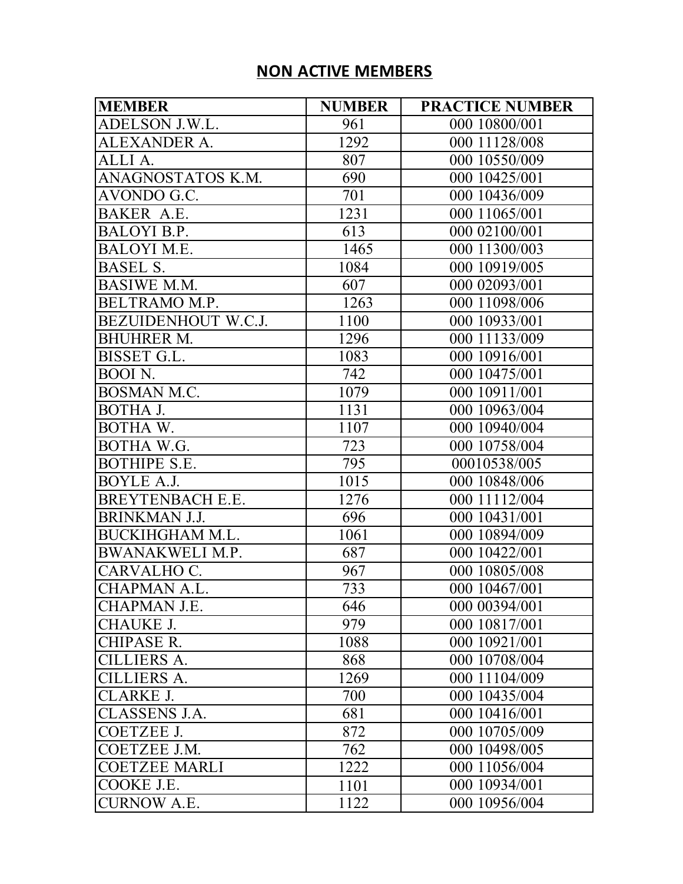## **NON ACTIVE MEMBERS**

| <b>MEMBER</b>          | <b>NUMBER</b> | <b>PRACTICE NUMBER</b> |
|------------------------|---------------|------------------------|
| ADELSON J.W.L.         | 961           | 000 10800/001          |
| ALEXANDER A.           | 1292          | 000 11128/008          |
| ALLI A.                | 807           | 000 10550/009          |
| ANAGNOSTATOS K.M.      | 690           | 000 10425/001          |
| AVONDO G.C.            | 701           | 000 10436/009          |
| BAKER A.E.             | 1231          | 000 11065/001          |
| BALOYI B.P.            | 613           | 000 02100/001          |
| <b>BALOYI M.E.</b>     | 1465          | 000 11300/003          |
| <b>BASEL S.</b>        | 1084          | 000 10919/005          |
| <b>BASIWE M.M.</b>     | 607           | 000 02093/001          |
| BELTRAMO M.P.          | 1263          | 000 11098/006          |
| BEZUIDENHOUT W.C.J.    | 1100          | 000 10933/001          |
| <b>BHUHRER M.</b>      | 1296          | 000 11133/009          |
| BISSET G.L.            | 1083          | 000 10916/001          |
| BOOI N.                | 742           | 000 10475/001          |
| <b>BOSMAN M.C.</b>     | 1079          | 000 10911/001          |
| BOTHA J.               | 1131          | 000 10963/004          |
| BOTHA W.               | 1107          | 000 10940/004          |
| BOTHA W.G.             | 723           | 000 10758/004          |
| <b>BOTHIPE S.E.</b>    | 795           | 00010538/005           |
| BOYLE A.J.             | 1015          | 000 10848/006          |
| BREYTENBACH E.E.       | 1276          | 000 11112/004          |
| <b>BRINKMAN J.J.</b>   | 696           | 000 10431/001          |
| BUCKIHGHAM M.L.        | 1061          | 000 10894/009          |
| <b>BWANAKWELI M.P.</b> | 687           | 000 10422/001          |
| CARVALHO C.            | 967           | 000 10805/008          |
| <b>CHAPMAN A.L.</b>    | 733           | 000 10467/001          |
| CHAPMAN J.E.           | 646           | 000 00394/001          |
| <b>CHAUKE J.</b>       | 979           | 000 10817/001          |
| <b>CHIPASE R.</b>      | 1088          | 000 10921/001          |
| <b>CILLIERS A.</b>     | 868           | 000 10708/004          |
| <b>CILLIERS A.</b>     | 1269          | 000 11104/009          |
| <b>CLARKE J.</b>       | 700           | 000 10435/004          |
| <b>CLASSENS J.A.</b>   | 681           | 000 10416/001          |
| <b>COETZEE J.</b>      | 872           | 000 10705/009          |
| COETZEE J.M.           | 762           | 000 10498/005          |
| <b>COETZEE MARLI</b>   | 1222          | 000 11056/004          |
| COOKE J.E.             | 1101          | 000 10934/001          |
| <b>CURNOW A.E.</b>     | 1122          | 000 10956/004          |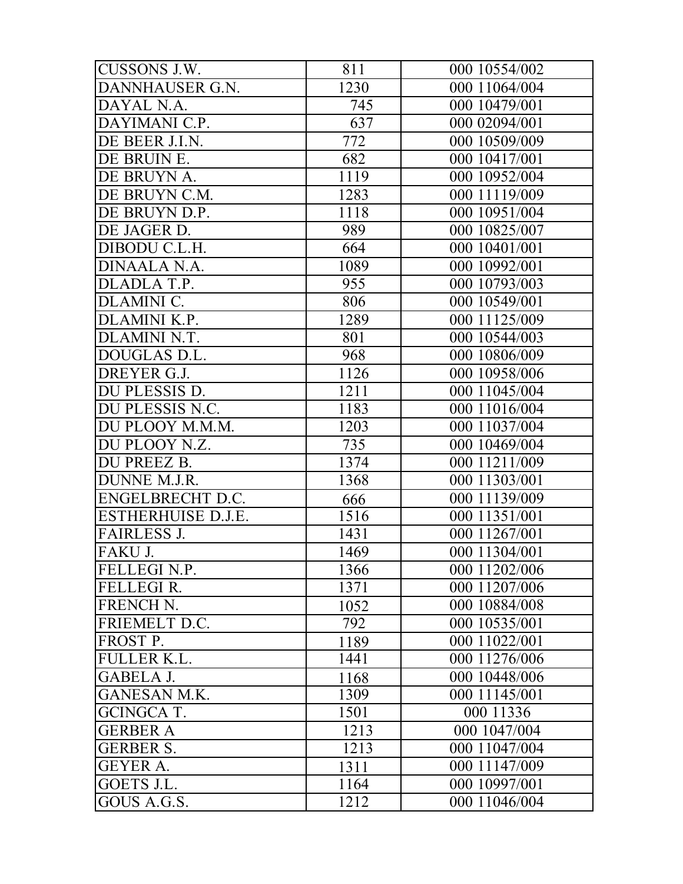| CUSSONS J.W.              | 811              | 000 10554/002 |
|---------------------------|------------------|---------------|
| DANNHAUSER G.N.           | <sup>1</sup> 230 | 000 11064/004 |
| DAYAL N.A.                | 745              | 000 10479/001 |
| DAYIMANI C.P.             | 637              | 000 02094/001 |
| DE BEER J.I.N.            | 772              | 000 10509/009 |
| DE BRUIN E.               | 682              | 000 10417/001 |
| DE BRUYN A.               | 1119             | 000 10952/004 |
| DE BRUYN C.M.             | 1283             | 000 11119/009 |
| DE BRUYN D.P.             | 1118             | 000 10951/004 |
| DE JAGER D.               | 989              | 000 10825/007 |
| DIBODU C.L.H.             | 664              | 000 10401/001 |
| DINAALA N.A.              | 1089             | 000 10992/001 |
| DLADLA T.P.               | 955              | 000 10793/003 |
| <b>DLAMINI C.</b>         | 806              | 000 10549/001 |
| DLAMINI K.P.              | 1289             | 000 11125/009 |
| DLAMINI N.T.              | 801              | 000 10544/003 |
| DOUGLAS D.L.              | 968              | 000 10806/009 |
| DREYER G.J.               | 1126             | 000 10958/006 |
| DU PLESSIS D.             | 1211             | 000 11045/004 |
| DU PLESSIS N.C.           | 1183             | 000 11016/004 |
| DU PLOOY M.M.M.           | 1203             | 000 11037/004 |
| DU PLOOY N.Z.             | 735              | 000 10469/004 |
| DU PREEZ B.               | 1374             | 000 11211/009 |
| DUNNE M.J.R.              | 1368             | 000 11303/001 |
| ENGELBRECHT D.C.          | 666              | 000 11139/009 |
| <b>ESTHERHUISE D.J.E.</b> | 1516             | 000 11351/001 |
| <b>FAIRLESS J.</b>        | 1431             | 000 11267/001 |
| FAKU J.                   | 1469             | 000 11304/001 |
| FELLEGI N.P.              | 1366             | 000 11202/006 |
| <b>FELLEGIR.</b>          | 1371             | 000 11207/006 |
| FRENCH N.                 | 1052             | 000 10884/008 |
| FRIEMELT D.C.             | 792              | 000 10535/001 |
| FROST P.                  | 1189             | 000 11022/001 |
| <b>FULLER K.L.</b>        | 1441             | 000 11276/006 |
| <b>GABELA J.</b>          | 1168             | 000 10448/006 |
| <b>GANESAN M.K.</b>       | 1309             | 000 11145/001 |
| <b>GCINGCA T.</b>         | 1501             | 000 11336     |
| <b>GERBER A</b>           | 1213             | 000 1047/004  |
| <b>GERBER S.</b>          | 1213             | 000 11047/004 |
| <b>GEYER A.</b>           | 1311             | 000 11147/009 |
| GOETS J.L.                | 1164             | 000 10997/001 |
| GOUS A.G.S.               | 1212             | 000 11046/004 |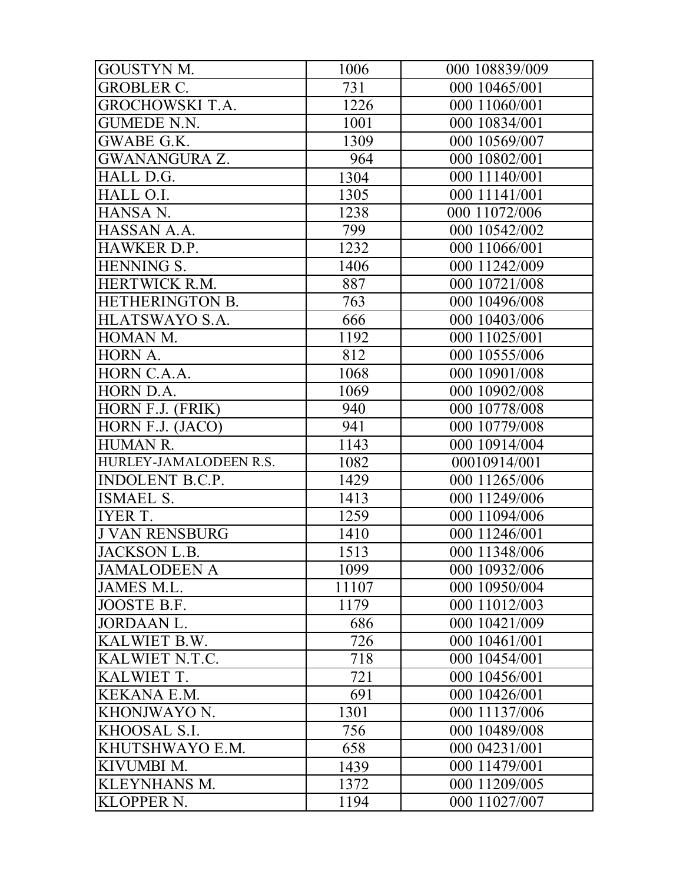| <b>GOUSTYN M.</b>      | 1006  | 000 108839/009 |
|------------------------|-------|----------------|
| <b>GROBLER C.</b>      | 731   | 000 10465/001  |
| <b>GROCHOWSKI T.A.</b> | 1226  | 000 11060/001  |
| <b>GUMEDE N.N.</b>     | 1001  | 000 10834/001  |
| GWABE G.K.             | 1309  | 000 10569/007  |
| <b>GWANANGURA Z.</b>   | 964   | 000 10802/001  |
| HALL D.G.              | 1304  | 000 11140/001  |
| HALL O.I.              | 1305  | 000 11141/001  |
| HANSA N.               | 1238  | 000 11072/006  |
| HASSAN A.A.            | 799   | 000 10542/002  |
| HAWKER D.P.            | 1232  | 000 11066/001  |
| <b>HENNING S.</b>      | 1406  | 000 11242/009  |
| HERTWICK R.M.          | 887   | 000 10721/008  |
| HETHERINGTON B.        | 763   | 000 10496/008  |
| HLATSWAYO S.A.         | 666   | 000 10403/006  |
| HOMAN M.               | 1192  | 000 11025/001  |
| HORN A.                | 812   | 000 10555/006  |
| HORN C.A.A.            | 1068  | 000 10901/008  |
| HORN D.A.              | 1069  | 000 10902/008  |
| HORN F.J. (FRIK)       | 940   | 000 10778/008  |
| HORN F.J. (JACO)       | 941   | 000 10779/008  |
| <b>HUMAN R.</b>        | 1143  | 000 10914/004  |
| HURLEY-JAMALODEEN R.S. | 1082  | 00010914/001   |
| <b>INDOLENT B.C.P.</b> | 1429  | 000 11265/006  |
| <b>ISMAEL S.</b>       | 1413  | 000 11249/006  |
| <b>IYER T.</b>         | 1259  | 000 11094/006  |
| <b>J VAN RENSBURG</b>  | 1410  | 000 11246/001  |
| <b>JACKSON L.B.</b>    | 1513  | 000 11348/006  |
| <b>JAMALODEEN A</b>    | 1099  | 000 10932/006  |
| JAMES M.L.             | 11107 | 000 10950/004  |
| JOOSTE B.F.            | 1179  | 000 11012/003  |
| <b>JORDAAN L.</b>      | 686   | 000 10421/009  |
| KALWIET B.W.           | 726   | 000 10461/001  |
| KALWIET N.T.C.         | 718   | 000 10454/001  |
| KALWIET T.             | 721   | 000 10456/001  |
| <b>KEKANA E.M.</b>     | 691   | 000 10426/001  |
| KHONJWAYO N.           | 1301  | 000 11137/006  |
| KHOOSAL S.I.           | 756   | 000 10489/008  |
| KHUTSHWAYO E.M.        | 658   | 000 04231/001  |
| KIVUMBI M.             | 1439  | 000 11479/001  |
| <b>KLEYNHANS M.</b>    | 1372  | 000 11209/005  |
| <b>KLOPPER N.</b>      | 1194  | 000 11027/007  |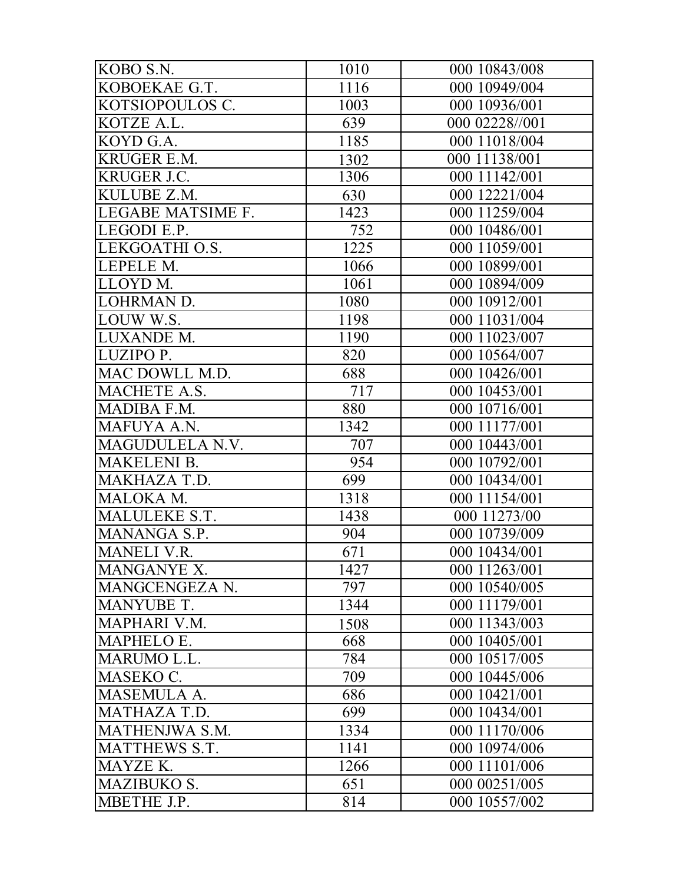| KOBO S.N.          | 1010              | 000 10843/008  |
|--------------------|-------------------|----------------|
| KOBOEKAE G.T.      | 1116              | 000 10949/004  |
| KOTSIOPOULOS C.    | 1003              | 000 10936/001  |
| KOTZE A.L.         | 639               | 000 02228//001 |
| KOYD G.A.          | 1185              | 000 11018/004  |
| <b>KRUGER E.M.</b> | 1302              | 000 11138/001  |
| <b>KRUGER J.C.</b> | 1306              | 000 11142/001  |
| KULUBE Z.M.        | 630               | 000 12221/004  |
| LEGABE MATSIME F.  | 1423              | 000 11259/004  |
| LEGODI E.P.        | 752               | 000 10486/001  |
| LEKGOATHI O.S.     | $\overline{1}225$ | 000 11059/001  |
| LEPELE M.          | 1066              | 000 10899/001  |
| LLOYD M.           | 1061              | 000 10894/009  |
| <b>LOHRMAN D.</b>  | 1080              | 000 10912/001  |
| LOUW W.S.          | 1198              | 000 11031/004  |
| LUXANDE M.         | 1190              | 000 11023/007  |
| LUZIPO P.          | 820               | 000 10564/007  |
| MAC DOWLL M.D.     | 688               | 000 10426/001  |
| MACHETE A.S.       | 717               | 000 10453/001  |
| MADIBA F.M.        | 880               | 000 10716/001  |
| MAFUYA A.N.        | 1342              | 000 11177/001  |
| MAGUDULELA N.V.    | 707               | 000 10443/001  |
| <b>MAKELENI B.</b> | 954               | 000 10792/001  |
| MAKHAZA T.D.       | 699               | 000 10434/001  |
| MALOKA M.          | 1318              | 000 11154/001  |
| MALULEKE S.T.      | 1438              | 000 11273/00   |
| MANANGA S.P.       | 904               | 000 10739/009  |
| <b>MANELI V.R.</b> | 671               | 000 10434/001  |
| MANGANYE X.        | 1427              | 000 11263/001  |
| MANGCENGEZA N.     | 797               | 000 10540/005  |
| <b>MANYUBE T.</b>  | 1344              | 000 11179/001  |
| MAPHARI V.M.       | 1508              | 000 11343/003  |
| MAPHELO E.         | 668               | 000 10405/001  |
| <b>MARUMO L.L.</b> | 784               | 000 10517/005  |
| MASEKO C.          | 709               | 000 10445/006  |
| <b>MASEMULA A.</b> | 686               | 000 10421/001  |
| MATHAZA T.D.       | 699               | 000 10434/001  |
| MATHENJWA S.M.     | 1334              | 000 11170/006  |
| MATTHEWS S.T.      | 1141              | 000 10974/006  |
| MAYZE K.           | 1266              | 000 11101/006  |
| <b>MAZIBUKO S.</b> | 651               | 000 00251/005  |
| MBETHE J.P.        | 814               | 000 10557/002  |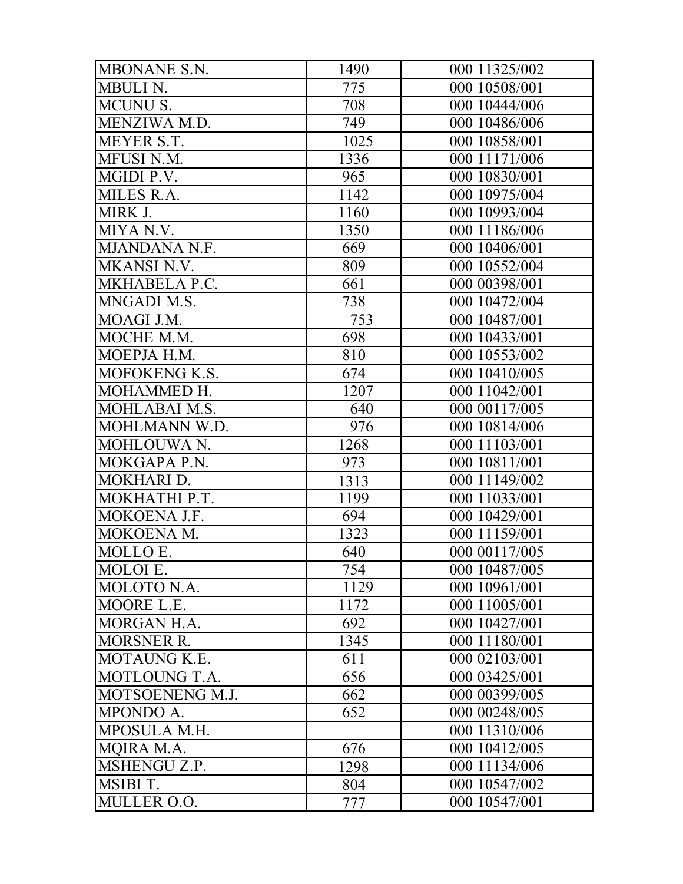| MBONANE S.N.       | 1490 | 000 11325/002 |
|--------------------|------|---------------|
| MBULI N.           | 775  | 000 10508/001 |
| <b>MCUNU S.</b>    | 708  | 000 10444/006 |
| MENZIWA M.D.       | 749  | 000 10486/006 |
| MEYER S.T.         | 1025 | 000 10858/001 |
| MFUSI N.M.         | 1336 | 000 11171/006 |
| MGIDI P.V.         | 965  | 000 10830/001 |
| MILES R.A.         | 1142 | 000 10975/004 |
| MIRK J.            | 1160 | 000 10993/004 |
| MIYA N.V.          | 1350 | 000 11186/006 |
| MJANDANA N.F.      | 669  | 000 10406/001 |
| <b>MKANSI N.V.</b> | 809  | 000 10552/004 |
| MKHABELA P.C.      | 661  | 000 00398/001 |
| MNGADI M.S.        | 738  | 000 10472/004 |
| MOAGI J.M.         | 753  | 000 10487/001 |
| MOCHE M.M.         | 698  | 000 10433/001 |
| MOEPJA H.M.        | 810  | 000 10553/002 |
| MOFOKENG K.S.      | 674  | 000 10410/005 |
| MOHAMMED H.        | 1207 | 000 11042/001 |
| MOHLABAI M.S.      | 640  | 000 00117/005 |
| MOHLMANN W.D.      | 976  | 000 10814/006 |
| MOHLOUWA N.        | 1268 | 000 11103/001 |
| MOKGAPA P.N.       | 973  | 000 10811/001 |
| MOKHARI D.         | 1313 | 000 11149/002 |
| MOKHATHI P.T.      | 1199 | 000 11033/001 |
| MOKOENA J.F.       | 694  | 000 10429/001 |
| MOKOENA M.         | 1323 | 000 11159/001 |
| MOLLO E.           | 640  | 000 00117/005 |
| MOLOI E.           | 754  | 000 10487/005 |
| MOLOTO N.A.        | 1129 | 000 10961/001 |
| MOORE L.E.         | 1172 | 000 11005/001 |
| MORGAN H.A.        | 692  | 000 10427/001 |
| <b>MORSNER R.</b>  | 1345 | 000 11180/001 |
| MOTAUNG K.E.       | 611  | 000 02103/001 |
| MOTLOUNG T.A.      | 656  | 000 03425/001 |
| MOTSOENENG M.J.    | 662  | 000 00399/005 |
| MPONDO A.          | 652  | 000 00248/005 |
| MPOSULA M.H.       |      | 000 11310/006 |
| MQIRA M.A.         | 676  | 000 10412/005 |
| MSHENGU Z.P.       | 1298 | 000 11134/006 |
| MSIBI T.           | 804  | 000 10547/002 |
| MULLER O.O.        | 777  | 000 10547/001 |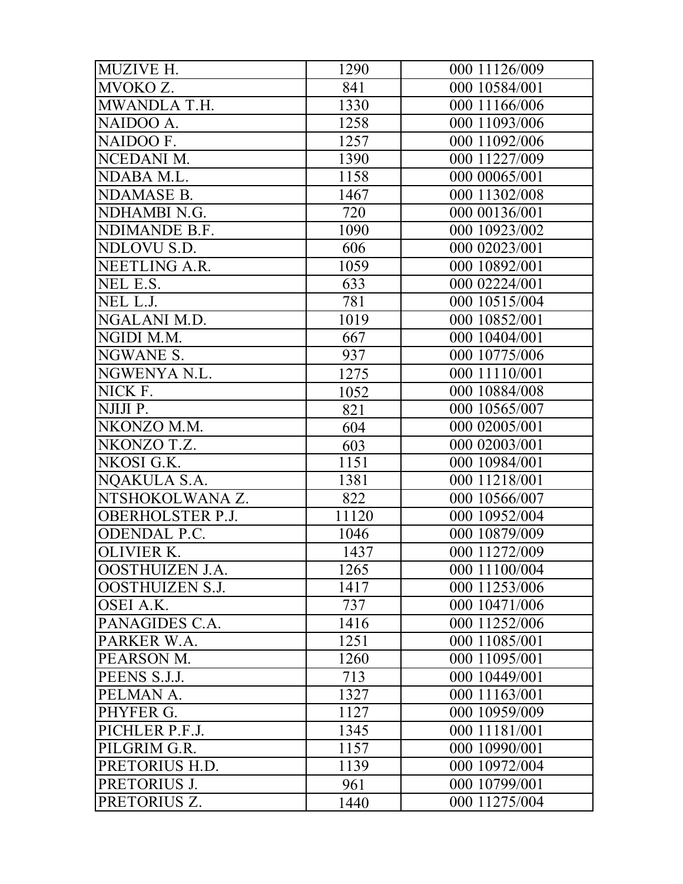| MUZIVE H.               | 1290  | 000 11126/009 |
|-------------------------|-------|---------------|
| MVOKO Z.                | 841   | 000 10584/001 |
| MWANDLA T.H.            | 1330  | 000 11166/006 |
| NAIDOO A.               | 1258  | 000 11093/006 |
| NAIDOO F.               | 1257  | 000 11092/006 |
| NCEDANI M.              | 1390  | 000 11227/009 |
| NDABA M.L.              | 1158  | 000 00065/001 |
| <b>NDAMASE B.</b>       | 1467  | 000 11302/008 |
| NDHAMBI N.G.            | 720   | 000 00136/001 |
| NDIMANDE B.F.           | 1090  | 000 10923/002 |
| NDLOVU S.D.             | 606   | 000 02023/001 |
| NEETLING A.R.           | 1059  | 000 10892/001 |
| NEL E.S.                | 633   | 000 02224/001 |
| NEL L.J.                | 781   | 000 10515/004 |
| NGALANI M.D.            | 1019  | 000 10852/001 |
| NGIDI M.M.              | 667   | 000 10404/001 |
| NGWANE S.               | 937   | 000 10775/006 |
| NGWENYA N.L.            | 1275  | 000 11110/001 |
| NICK F.                 | 1052  | 000 10884/008 |
| NJIJI P.                | 821   | 000 10565/007 |
| NKONZO M.M.             | 604   | 000 02005/001 |
| NKONZO T.Z.             | 603   | 000 02003/001 |
| NKOSI G.K.              | 1151  | 000 10984/001 |
| NQAKULA S.A.            | 1381  | 000 11218/001 |
| NTSHOKOLWANA Z.         | 822   | 000 10566/007 |
| <b>OBERHOLSTER P.J.</b> | 11120 | 000 10952/004 |
| <b>ODENDAL P.C.</b>     | 1046  | 000 10879/009 |
| <b>OLIVIER K.</b>       | 1437  | 000 11272/009 |
| OOSTHUIZEN J.A.         | 1265  | 000 11100/004 |
| <b>OOSTHUIZEN S.J.</b>  | 1417  | 000 11253/006 |
| OSEI A.K.               | 737   | 000 10471/006 |
| PANAGIDES C.A.          | 1416  | 000 11252/006 |
| PARKER W.A.             | 1251  | 000 11085/001 |
| PEARSON M.              | 1260  | 000 11095/001 |
| PEENS S.J.J.            | 713   | 000 10449/001 |
| PELMAN A.               | 1327  | 000 11163/001 |
| PHYFER G.               | 1127  | 000 10959/009 |
| PICHLER P.F.J.          | 1345  | 000 11181/001 |
| PILGRIM G.R.            | 1157  | 000 10990/001 |
| PRETORIUS H.D.          | 1139  | 000 10972/004 |
| PRETORIUS J.            | 961   | 000 10799/001 |
| PRETORIUS Z.            | 1440  | 000 11275/004 |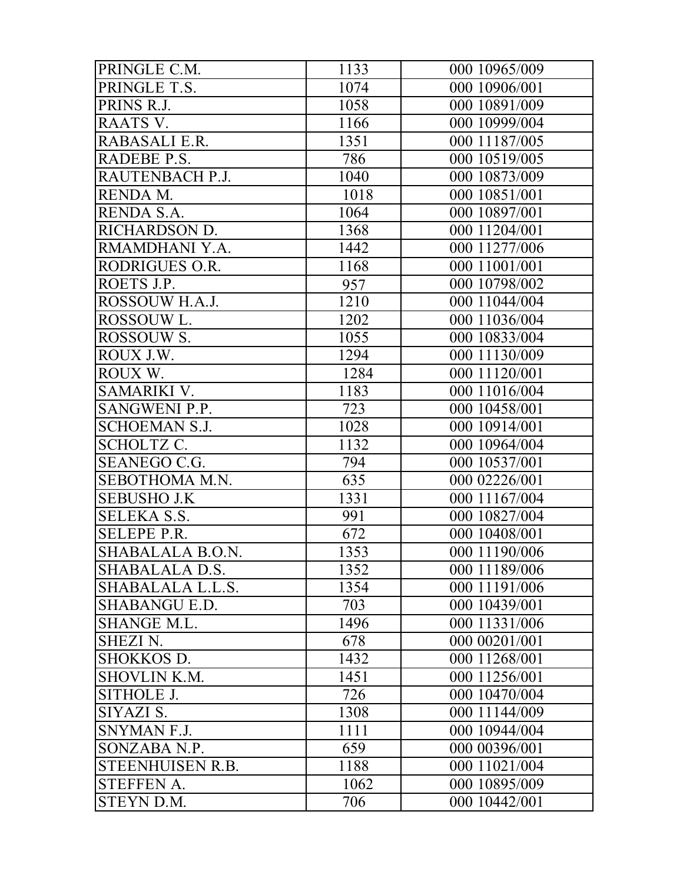| PRINGLE C.M.         | 1133 | 000 10965/009 |
|----------------------|------|---------------|
| PRINGLE T.S.         | 1074 | 000 10906/001 |
| PRINS R.J.           | 1058 | 000 10891/009 |
| RAATS V.             | 1166 | 000 10999/004 |
| RABASALI E.R.        | 1351 | 000 11187/005 |
| RADEBE P.S.          | 786  | 000 10519/005 |
| RAUTENBACH P.J.      | 1040 | 000 10873/009 |
| RENDA M.             | 1018 | 000 10851/001 |
| RENDA S.A.           | 1064 | 000 10897/001 |
| RICHARDSON D.        | 1368 | 000 11204/001 |
| RMAMDHANI Y.A.       | 1442 | 000 11277/006 |
| RODRIGUES O.R.       | 1168 | 000 11001/001 |
| ROETS J.P.           | 957  | 000 10798/002 |
| ROSSOUW H.A.J.       | 1210 | 000 11044/004 |
| ROSSOUW L.           | 1202 | 000 11036/004 |
| ROSSOUW S.           | 1055 | 000 10833/004 |
| ROUX J.W.            | 1294 | 000 11130/009 |
| ROUX W.              | 1284 | 000 11120/001 |
| SAMARIKI V.          | 1183 | 000 11016/004 |
| <b>SANGWENI P.P.</b> | 723  | 000 10458/001 |
| <b>SCHOEMAN S.J.</b> | 1028 | 000 10914/001 |
| <b>SCHOLTZ C.</b>    | 1132 | 000 10964/004 |
| SEANEGO C.G.         | 794  | 000 10537/001 |
| SEBOTHOMA M.N.       | 635  | 000 02226/001 |
| <b>SEBUSHO J.K</b>   | 1331 | 000 11167/004 |
| <b>SELEKA S.S.</b>   | 991  | 000 10827/004 |
| <b>SELEPE P.R.</b>   | 672  | 000 10408/001 |
| SHABALALA B.O.N.     | 1353 | 000 11190/006 |
| SHABALALA D.S.       | 1352 | 000 11189/006 |
| SHABALALA L.L.S.     | 1354 | 000 11191/006 |
| <b>SHABANGU E.D.</b> | 703  | 000 10439/001 |
| <b>SHANGE M.L.</b>   | 1496 | 000 11331/006 |
| <b>SHEZI N.</b>      | 678  | 000 00201/001 |
| <b>SHOKKOS D.</b>    | 1432 | 000 11268/001 |
| <b>SHOVLIN K.M.</b>  | 1451 | 000 11256/001 |
| SITHOLE J.           | 726  | 000 10470/004 |
| SIYAZI S.            | 1308 | 000 11144/009 |
| SNYMAN F.J.          | 1111 | 000 10944/004 |
| SONZABA N.P.         | 659  | 000 00396/001 |
| STEENHUISEN R.B.     | 1188 | 000 11021/004 |
| <b>STEFFEN A.</b>    | 1062 | 000 10895/009 |
| STEYN D.M.           | 706  | 000 10442/001 |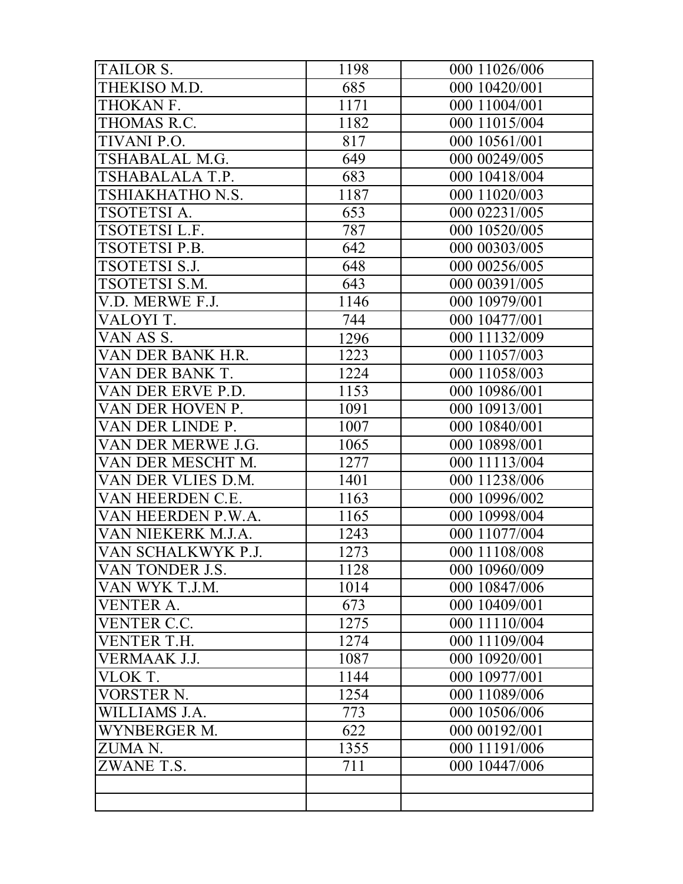| <b>TAILOR S.</b>     | 1198 | 000 11026/006 |
|----------------------|------|---------------|
| THEKISO M.D.         | 685  | 000 10420/001 |
| THOKAN F.            | 1171 | 000 11004/001 |
| THOMAS R.C.          | 1182 | 000 11015/004 |
| TIVANI P.O.          | 817  | 000 10561/001 |
| TSHABALAL M.G.       | 649  | 000 00249/005 |
| TSHABALALA T.P.      | 683  | 000 10418/004 |
| TSHIAKHATHO N.S.     | 1187 | 000 11020/003 |
| TSOTETSI A.          | 653  | 000 02231/005 |
| TSOTETSI L.F.        | 787  | 000 10520/005 |
| TSOTETSI P.B.        | 642  | 000 00303/005 |
| <b>TSOTETSI S.J.</b> | 648  | 000 00256/005 |
| TSOTETSI S.M.        | 643  | 000 00391/005 |
| V.D. MERWE F.J.      | 1146 | 000 10979/001 |
| VALOYI T.            | 744  | 000 10477/001 |
| VAN AS S.            | 1296 | 000 11132/009 |
| VAN DER BANK H.R.    | 1223 | 000 11057/003 |
| VAN DER BANK T.      | 1224 | 000 11058/003 |
| VAN DER ERVE P.D.    | 1153 | 000 10986/001 |
| VAN DER HOVEN P.     | 1091 | 000 10913/001 |
| VAN DER LINDE P.     | 1007 | 000 10840/001 |
| VAN DER MERWE J.G.   | 1065 | 000 10898/001 |
| VAN DER MESCHT M.    | 1277 | 000 11113/004 |
| VAN DER VLIES D.M.   | 1401 | 000 11238/006 |
| VAN HEERDEN C.E.     | 1163 | 000 10996/002 |
| VAN HEERDEN P.W.A.   | 1165 | 000 10998/004 |
| VAN NIEKERK M.J.A.   | 1243 | 000 11077/004 |
| VAN SCHALKWYK P.J.   | 1273 | 000 11108/008 |
| VAN TONDER J.S.      | 1128 | 000 10960/009 |
| VAN WYK T.J.M.       | 1014 | 000 10847/006 |
| <b>VENTER A.</b>     | 673  | 000 10409/001 |
| <b>VENTER C.C.</b>   | 1275 | 000 11110/004 |
| VENTER T.H.          | 1274 | 000 11109/004 |
| VERMAAK J.J.         | 1087 | 000 10920/001 |
| VLOK T.              | 1144 | 000 10977/001 |
| VORSTER N.           | 1254 | 000 11089/006 |
| WILLIAMS J.A.        | 773  | 000 10506/006 |
| WYNBERGER M.         | 622  | 000 00192/001 |
| ZUMA N.              | 1355 | 000 11191/006 |
| ZWANE T.S.           | 711  | 000 10447/006 |
|                      |      |               |
|                      |      |               |